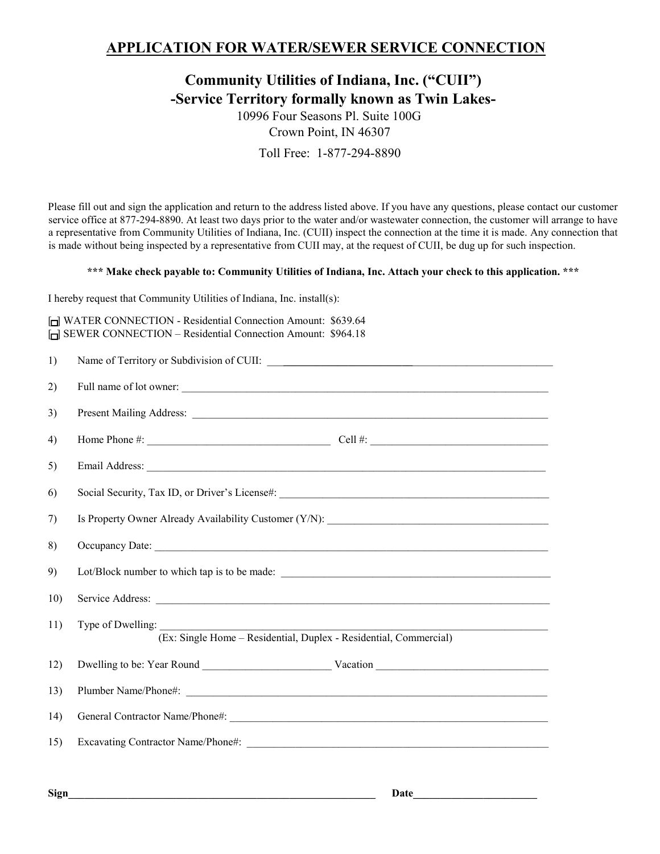## **APPLICATION FOR WATER/SEWER SERVICE CONNECTION**

## **Community Utilities of Indiana, Inc. ("CUII") -Service Territory formally known as Twin Lakes-**

10996 Four Seasons Pl. Suite 100G Crown Point, IN 46307 Toll Free: 1-877-294-8890

Please fill out and sign the application and return to the address listed above. If you have any questions, please contact our customer service office at 877-294-8890. At least two days prior to the water and/or wastewater connection, the customer will arrange to have a representative from Community Utilities of Indiana, Inc. (CUII) inspect the connection at the time it is made. Any connection that is made without being inspected by a representative from CUII may, at the request of CUII, be dug up for such inspection.

## **\*\*\* Make check payable to: Community Utilities of Indiana, Inc. Attach your check to this application. \*\*\***

I hereby request that Community Utilities of Indiana, Inc. install(s):

| WATER CONNECTION - Residential Connection Amount: \$639.64           |  |
|----------------------------------------------------------------------|--|
| <b>In SEWER CONNECTION - Residential Connection Amount: \$964.18</b> |  |

| 1)          |                                                                                        |
|-------------|----------------------------------------------------------------------------------------|
| 2)          | Full name of lot owner:                                                                |
| 3)          |                                                                                        |
| 4)          |                                                                                        |
| 5)          |                                                                                        |
| 6)          |                                                                                        |
| 7)          | Is Property Owner Already Availability Customer (Y/N): _________________________       |
| 8)          |                                                                                        |
| 9)          | Lot/Block number to which tap is to be made:                                           |
| 10)         |                                                                                        |
| 11)         | Type of Dwelling:<br>(Ex: Single Home - Residential, Duplex - Residential, Commercial) |
| 12)         |                                                                                        |
| 13)         |                                                                                        |
| 14)         |                                                                                        |
| 15)         |                                                                                        |
|             |                                                                                        |
| <b>Sign</b> | Date                                                                                   |